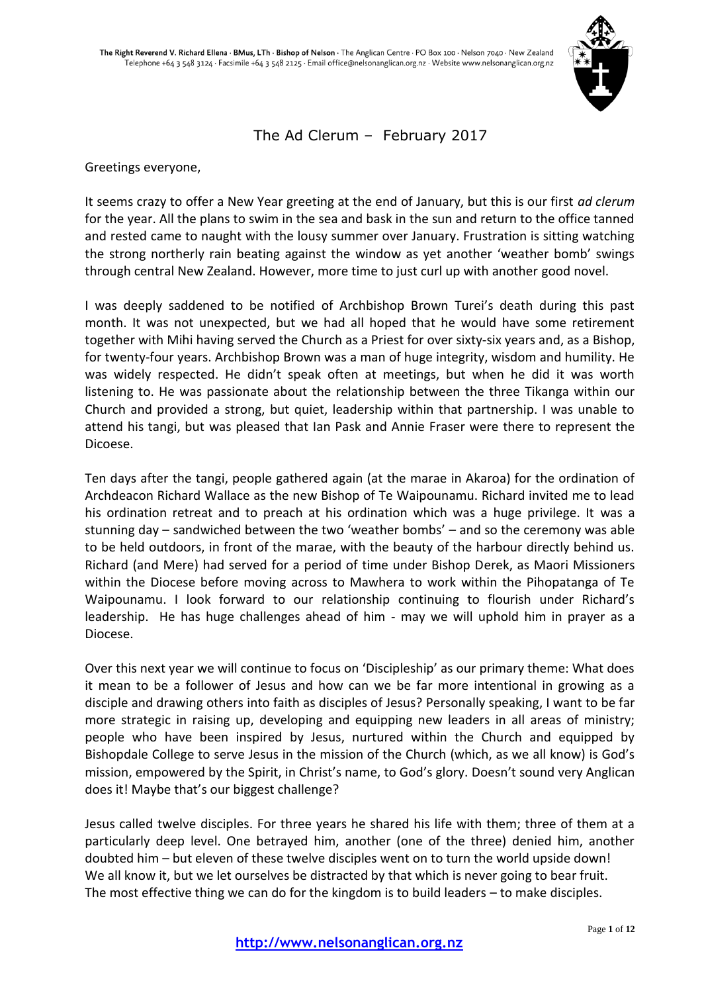

## The Ad Clerum – February 2017

Greetings everyone,

It seems crazy to offer a New Year greeting at the end of January, but this is our first *ad clerum* for the year. All the plans to swim in the sea and bask in the sun and return to the office tanned and rested came to naught with the lousy summer over January. Frustration is sitting watching the strong northerly rain beating against the window as yet another 'weather bomb' swings through central New Zealand. However, more time to just curl up with another good novel.

I was deeply saddened to be notified of Archbishop Brown Turei's death during this past month. It was not unexpected, but we had all hoped that he would have some retirement together with Mihi having served the Church as a Priest for over sixty-six years and, as a Bishop, for twenty-four years. Archbishop Brown was a man of huge integrity, wisdom and humility. He was widely respected. He didn't speak often at meetings, but when he did it was worth listening to. He was passionate about the relationship between the three Tikanga within our Church and provided a strong, but quiet, leadership within that partnership. I was unable to attend his tangi, but was pleased that Ian Pask and Annie Fraser were there to represent the Dicoese.

Ten days after the tangi, people gathered again (at the marae in Akaroa) for the ordination of Archdeacon Richard Wallace as the new Bishop of Te Waipounamu. Richard invited me to lead his ordination retreat and to preach at his ordination which was a huge privilege. It was a stunning day – sandwiched between the two 'weather bombs' – and so the ceremony was able to be held outdoors, in front of the marae, with the beauty of the harbour directly behind us. Richard (and Mere) had served for a period of time under Bishop Derek, as Maori Missioners within the Diocese before moving across to Mawhera to work within the Pihopatanga of Te Waipounamu. I look forward to our relationship continuing to flourish under Richard's leadership. He has huge challenges ahead of him - may we will uphold him in prayer as a Diocese.

Over this next year we will continue to focus on 'Discipleship' as our primary theme: What does it mean to be a follower of Jesus and how can we be far more intentional in growing as a disciple and drawing others into faith as disciples of Jesus? Personally speaking, I want to be far more strategic in raising up, developing and equipping new leaders in all areas of ministry; people who have been inspired by Jesus, nurtured within the Church and equipped by Bishopdale College to serve Jesus in the mission of the Church (which, as we all know) is God's mission, empowered by the Spirit, in Christ's name, to God's glory. Doesn't sound very Anglican does it! Maybe that's our biggest challenge?

Jesus called twelve disciples. For three years he shared his life with them; three of them at a particularly deep level. One betrayed him, another (one of the three) denied him, another doubted him – but eleven of these twelve disciples went on to turn the world upside down! We all know it, but we let ourselves be distracted by that which is never going to bear fruit. The most effective thing we can do for the kingdom is to build leaders – to make disciples.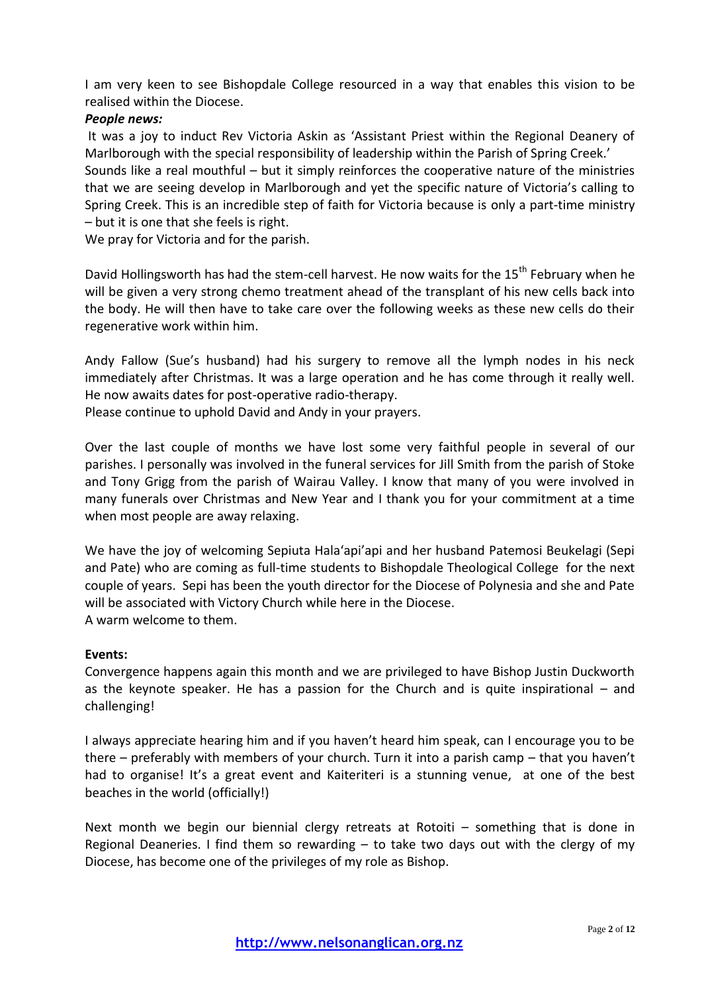I am very keen to see Bishopdale College resourced in a way that enables this vision to be realised within the Diocese.

### *People news:*

It was a joy to induct Rev Victoria Askin as 'Assistant Priest within the Regional Deanery of Marlborough with the special responsibility of leadership within the Parish of Spring Creek.' Sounds like a real mouthful – but it simply reinforces the cooperative nature of the ministries that we are seeing develop in Marlborough and yet the specific nature of Victoria's calling to Spring Creek. This is an incredible step of faith for Victoria because is only a part-time ministry – but it is one that she feels is right.

We pray for Victoria and for the parish.

David Hollingsworth has had the stem-cell harvest. He now waits for the 15<sup>th</sup> February when he will be given a very strong chemo treatment ahead of the transplant of his new cells back into the body. He will then have to take care over the following weeks as these new cells do their regenerative work within him.

Andy Fallow (Sue's husband) had his surgery to remove all the lymph nodes in his neck immediately after Christmas. It was a large operation and he has come through it really well. He now awaits dates for post-operative radio-therapy.

Please continue to uphold David and Andy in your prayers.

Over the last couple of months we have lost some very faithful people in several of our parishes. I personally was involved in the funeral services for Jill Smith from the parish of Stoke and Tony Grigg from the parish of Wairau Valley. I know that many of you were involved in many funerals over Christmas and New Year and I thank you for your commitment at a time when most people are away relaxing.

We have the joy of welcoming Sepiuta Hala'api'api and her husband Patemosi Beukelagi (Sepi and Pate) who are coming as full-time students to Bishopdale Theological College for the next couple of years. Sepi has been the youth director for the Diocese of Polynesia and she and Pate will be associated with Victory Church while here in the Diocese. A warm welcome to them.

### **Events:**

Convergence happens again this month and we are privileged to have Bishop Justin Duckworth as the keynote speaker. He has a passion for the Church and is quite inspirational  $-$  and challenging!

I always appreciate hearing him and if you haven't heard him speak, can I encourage you to be there – preferably with members of your church. Turn it into a parish camp – that you haven't had to organise! It's a great event and Kaiteriteri is a stunning venue, at one of the best beaches in the world (officially!)

Next month we begin our biennial clergy retreats at Rotoiti – something that is done in Regional Deaneries. I find them so rewarding  $-$  to take two days out with the clergy of my Diocese, has become one of the privileges of my role as Bishop.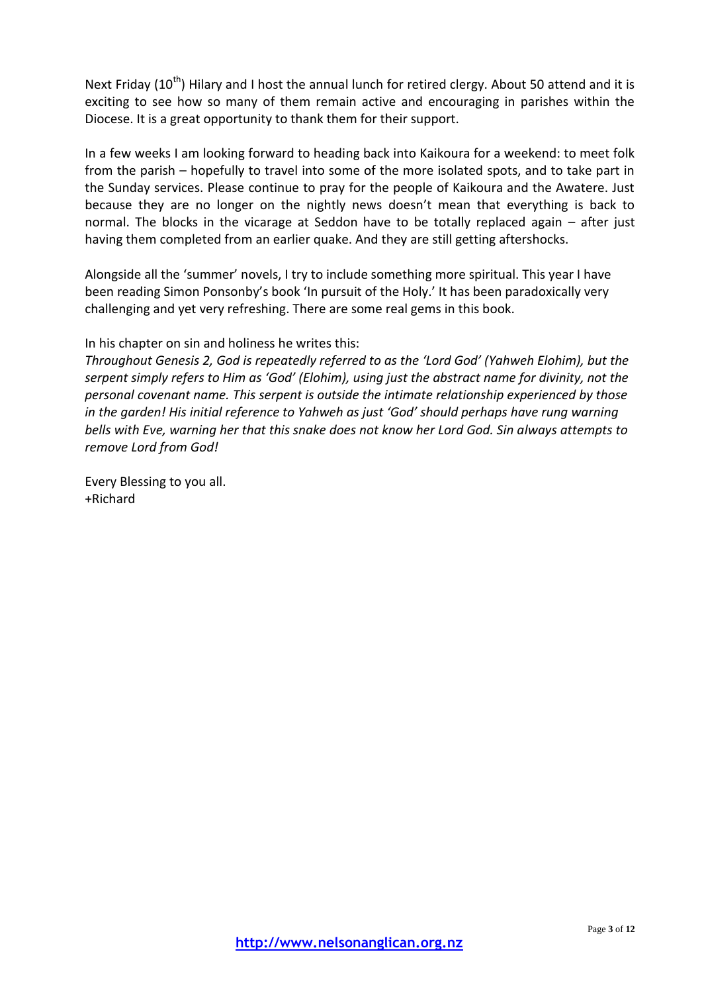Next Friday  $(10^{th})$  Hilary and I host the annual lunch for retired clergy. About 50 attend and it is exciting to see how so many of them remain active and encouraging in parishes within the Diocese. It is a great opportunity to thank them for their support.

In a few weeks I am looking forward to heading back into Kaikoura for a weekend: to meet folk from the parish – hopefully to travel into some of the more isolated spots, and to take part in the Sunday services. Please continue to pray for the people of Kaikoura and the Awatere. Just because they are no longer on the nightly news doesn't mean that everything is back to normal. The blocks in the vicarage at Seddon have to be totally replaced again – after just having them completed from an earlier quake. And they are still getting aftershocks.

Alongside all the 'summer' novels, I try to include something more spiritual. This year I have been reading Simon Ponsonby's book 'In pursuit of the Holy.' It has been paradoxically very challenging and yet very refreshing. There are some real gems in this book.

In his chapter on sin and holiness he writes this:

*Throughout Genesis 2, God is repeatedly referred to as the 'Lord God' (Yahweh Elohim), but the serpent simply refers to Him as 'God' (Elohim), using just the abstract name for divinity, not the personal covenant name. This serpent is outside the intimate relationship experienced by those in the garden! His initial reference to Yahweh as just 'God' should perhaps have rung warning bells with Eve, warning her that this snake does not know her Lord God. Sin always attempts to remove Lord from God!*

Every Blessing to you all. +Richard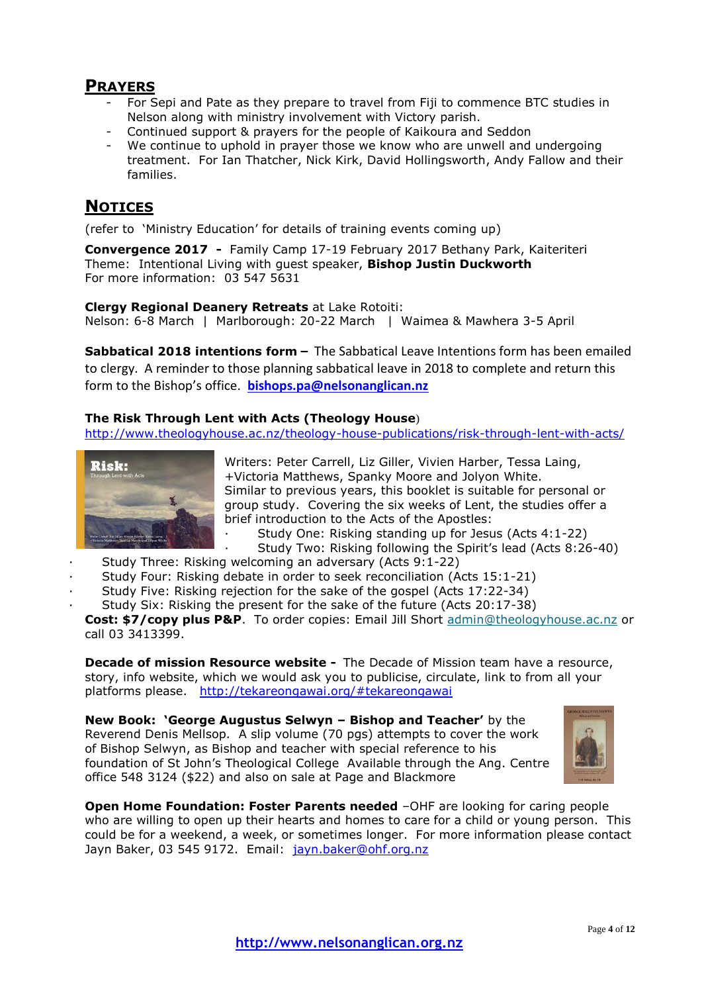# **PRAYERS**

- For Sepi and Pate as they prepare to travel from Fiji to commence BTC studies in Nelson along with ministry involvement with Victory parish.
- Continued support & prayers for the people of Kaikoura and Seddon
- We continue to uphold in prayer those we know who are unwell and undergoing treatment. For Ian Thatcher, Nick Kirk, David Hollingsworth, Andy Fallow and their families.

# **NOTICES**

(refer to 'Ministry Education' for details of training events coming up)

**Convergence 2017 -** Family Camp 17-19 February 2017 Bethany Park, Kaiteriteri Theme: Intentional Living with guest speaker, **Bishop Justin Duckworth** For more information: 03 547 5631

**Clergy Regional Deanery Retreats** at Lake Rotoiti:

Nelson: 6-8 March | Marlborough: 20-22 March | Waimea & Mawhera 3-5 April

**Sabbatical 2018 intentions form –** The Sabbatical Leave Intentions form has been emailed to clergy. A reminder to those planning sabbatical leave in 2018 to complete and return this form to the Bishop's office. **[bishops.pa@nelsonanglican.nz](mailto:bishops.pa@nelsonanglican.nz)**

### **The Risk Through Lent with Acts (Theology House**)

<http://www.theologyhouse.ac.nz/theology-house-publications/risk-through-lent-with-acts/>



Writers: Peter Carrell, Liz Giller, Vivien Harber, Tessa Laing, +Victoria Matthews, Spanky Moore and Jolyon White. Similar to previous years, this booklet is suitable for personal or group study. Covering the six weeks of Lent, the studies offer a brief introduction to the Acts of the Apostles:

Study One: Risking standing up for Jesus (Acts 4:1-22)

Study Two: Risking following the Spirit's lead (Acts 8:26-40)

Study Three: Risking welcoming an adversary (Acts 9:1-22)

Study Four: Risking debate in order to seek reconciliation (Acts 15:1-21)

Study Five: Risking rejection for the sake of the gospel (Acts 17:22-34)

Study Six: Risking the present for the sake of the future (Acts 20:17-38)

**Cost: \$7/copy plus P&P**. To order copies: Email Jill Short [admin@theologyhouse.ac.nz](mailto:admin@theologyhouse.ac.nz) or call 03 3413399.

**Decade of mission Resource website -** The Decade of Mission team have a resource, story, info website, which we would ask you to publicise, circulate, link to from all your platforms please. <http://tekareongawai.org/#tekareongawai>

**New Book: 'George Augustus Selwyn – Bishop and Teacher'** by the Reverend Denis Mellsop. A slip volume (70 pgs) attempts to cover the work of Bishop Selwyn, as Bishop and teacher with special reference to his foundation of St John's Theological College Available through the Ang. Centre office 548 3124 (\$22) and also on sale at Page and Blackmore



**Open Home Foundation: Foster Parents needed** -OHF are looking for caring people who are willing to open up their hearts and homes to care for a child or young person. This could be for a weekend, a week, or sometimes longer. For more information please contact Jayn Baker, 03 545 9172. Email: jayn.baker@ohf.org.nz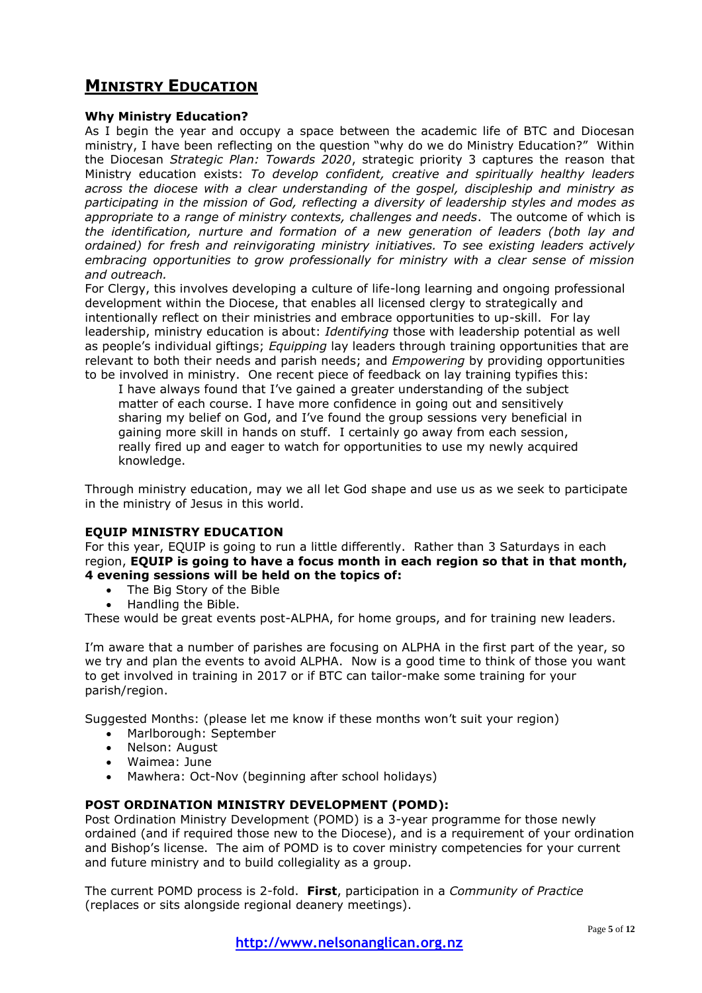# **MINISTRY EDUCATION**

### **Why Ministry Education?**

As I begin the year and occupy a space between the academic life of BTC and Diocesan ministry, I have been reflecting on the question "why do we do Ministry Education?" Within the Diocesan *Strategic Plan: Towards 2020*, strategic priority 3 captures the reason that Ministry education exists: *To develop confident, creative and spiritually healthy leaders across the diocese with a clear understanding of the gospel, discipleship and ministry as participating in the mission of God, reflecting a diversity of leadership styles and modes as appropriate to a range of ministry contexts, challenges and needs*. The outcome of which is *the identification, nurture and formation of a new generation of leaders (both lay and ordained) for fresh and reinvigorating ministry initiatives. To see existing leaders actively embracing opportunities to grow professionally for ministry with a clear sense of mission and outreach.*

For Clergy, this involves developing a culture of life-long learning and ongoing professional development within the Diocese, that enables all licensed clergy to strategically and intentionally reflect on their ministries and embrace opportunities to up-skill. For lay leadership, ministry education is about: *Identifying* those with leadership potential as well as people's individual giftings; *Equipping* lay leaders through training opportunities that are relevant to both their needs and parish needs; and *Empowering* by providing opportunities to be involved in ministry. One recent piece of feedback on lay training typifies this:

I have always found that I've gained a greater understanding of the subject matter of each course. I have more confidence in going out and sensitively sharing my belief on God, and I've found the group sessions very beneficial in gaining more skill in hands on stuff. I certainly go away from each session, really fired up and eager to watch for opportunities to use my newly acquired knowledge.

Through ministry education, may we all let God shape and use us as we seek to participate in the ministry of Jesus in this world.

#### **EQUIP MINISTRY EDUCATION**

For this year, EQUIP is going to run a little differently. Rather than 3 Saturdays in each region, **EQUIP is going to have a focus month in each region so that in that month, 4 evening sessions will be held on the topics of:**

- The Big Story of the Bible
- Handling the Bible.

These would be great events post-ALPHA, for home groups, and for training new leaders.

I'm aware that a number of parishes are focusing on ALPHA in the first part of the year, so we try and plan the events to avoid ALPHA. Now is a good time to think of those you want to get involved in training in 2017 or if BTC can tailor-make some training for your parish/region.

Suggested Months: (please let me know if these months won't suit your region)

- Marlborough: September
- Nelson: August
- Waimea: June
- Mawhera: Oct-Nov (beginning after school holidays)

#### **POST ORDINATION MINISTRY DEVELOPMENT (POMD):**

Post Ordination Ministry Development (POMD) is a 3-year programme for those newly ordained (and if required those new to the Diocese), and is a requirement of your ordination and Bishop's license. The aim of POMD is to cover ministry competencies for your current and future ministry and to build collegiality as a group.

The current POMD process is 2-fold. **First**, participation in a *Community of Practice* (replaces or sits alongside regional deanery meetings).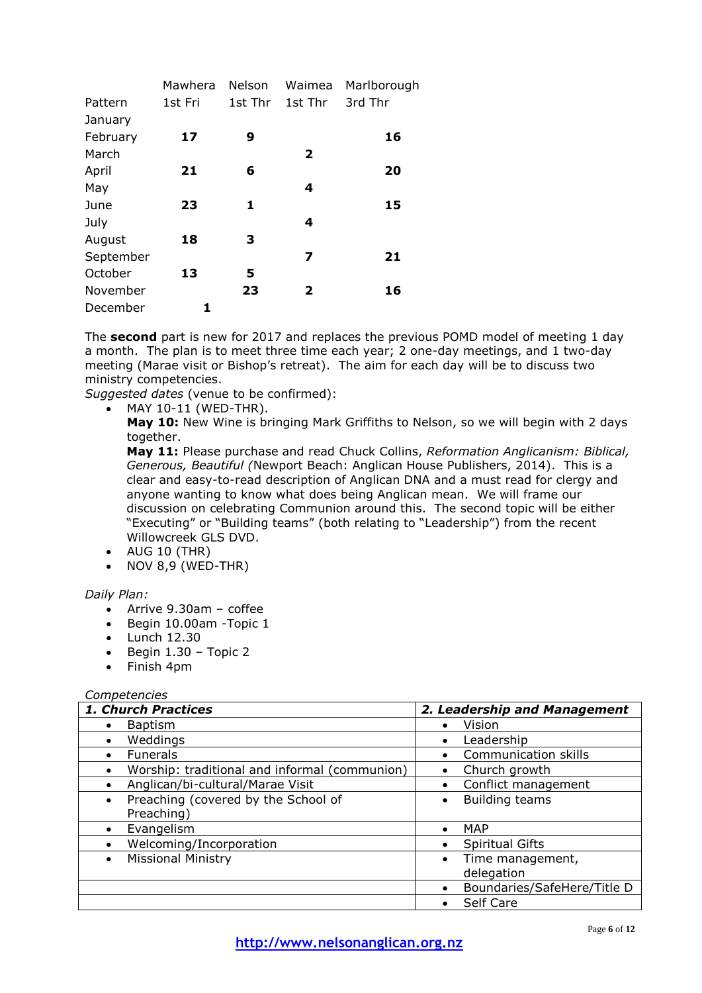|           | Mawhera | Nelson  | Waimea       | Marlborough |
|-----------|---------|---------|--------------|-------------|
| Pattern   | 1st Fri | 1st Thr | 1st Thr      | 3rd Thr     |
| January   |         |         |              |             |
| February  | 17      | 9       |              | 16          |
| March     |         |         | $\mathbf{2}$ |             |
| April     | 21      | 6       |              | 20          |
| May       |         |         | 4            |             |
| June      | 23      | 1       |              | 15          |
| July      |         |         | 4            |             |
| August    | 18      | З       |              |             |
| September |         |         | 7            | 21          |
| October   | 13      | 5       |              |             |
| November  |         | 23      | 2            | 16          |
| December  |         |         |              |             |
|           |         |         |              |             |

The **second** part is new for 2017 and replaces the previous POMD model of meeting 1 day a month. The plan is to meet three time each year; 2 one-day meetings, and 1 two-day meeting (Marae visit or Bishop's retreat). The aim for each day will be to discuss two ministry competencies.

*Suggested dates* (venue to be confirmed):

MAY 10-11 (WED-THR).

**May 10:** New Wine is bringing Mark Griffiths to Nelson, so we will begin with 2 days together.

**May 11:** Please purchase and read Chuck Collins, *Reformation Anglicanism: Biblical, Generous, Beautiful (*Newport Beach: Anglican House Publishers, 2014). This is a clear and easy-to-read description of Anglican DNA and a must read for clergy and anyone wanting to know what does being Anglican mean. We will frame our discussion on celebrating Communion around this. The second topic will be either "Executing" or "Building teams" (both relating to "Leadership") from the recent Willowcreek GLS DVD.

- AUG 10 (THR)
- $\bullet$  NOV 8,9 (WED-THR)

#### *Daily Plan:*

- $\bullet$  Arrive 9.30am coffee
- Begin 10.00am -Topic 1
- $\bullet$  Lunch 12.30
- Begin 1.30 Topic 2
- Finish 4pm

#### *Competencies*

| 1. Church Practices                                | 2. Leadership and Management             |  |
|----------------------------------------------------|------------------------------------------|--|
| <b>Baptism</b>                                     | Vision<br>$\bullet$                      |  |
| Weddings                                           | Leadership<br>$\bullet$                  |  |
| <b>Funerals</b><br>٠                               | Communication skills<br>$\bullet$        |  |
| Worship: traditional and informal (communion)<br>٠ | Church growth<br>$\bullet$               |  |
| Anglican/bi-cultural/Marae Visit                   | Conflict management                      |  |
| Preaching (covered by the School of<br>$\bullet$   | <b>Building teams</b><br>$\bullet$       |  |
| Preaching)                                         |                                          |  |
| Evangelism                                         | <b>MAP</b><br>$\bullet$                  |  |
| Welcoming/Incorporation                            | <b>Spiritual Gifts</b><br>$\bullet$      |  |
| <b>Missional Ministry</b>                          | Time management,<br>$\bullet$            |  |
|                                                    | delegation                               |  |
|                                                    | Boundaries/SafeHere/Title D<br>$\bullet$ |  |
|                                                    | Self Care<br>$\bullet$                   |  |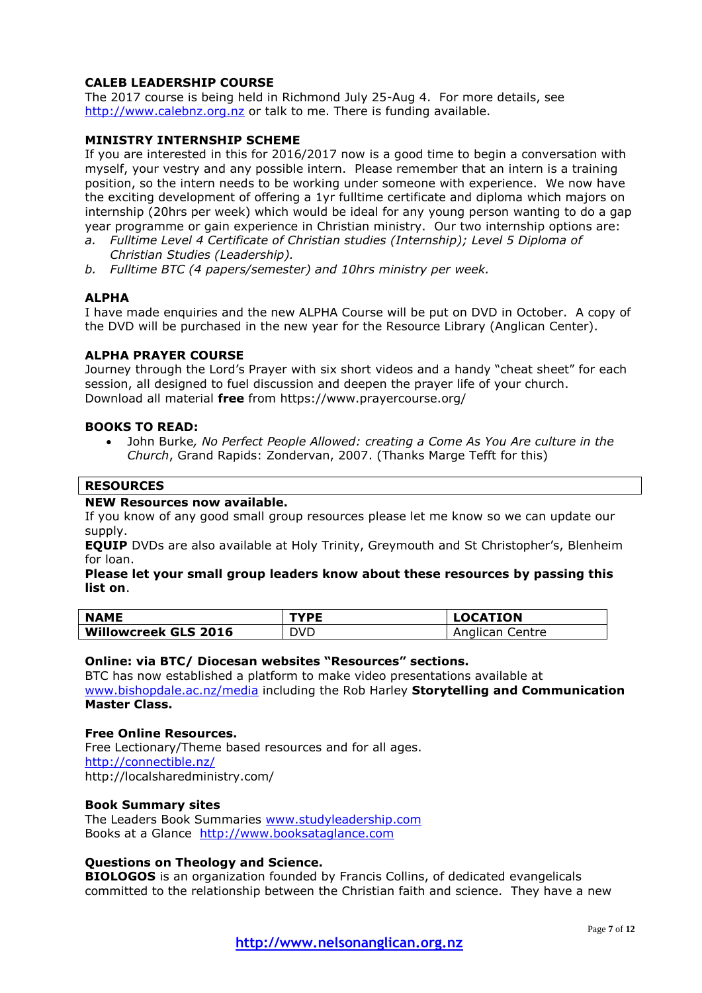### **CALEB LEADERSHIP COURSE**

The 2017 course is being held in Richmond July 25-Aug 4. For more details, see [http://www.calebnz.org.nz](http://www.calebnz.org.nz/) or talk to me. There is funding available.

### **MINISTRY INTERNSHIP SCHEME**

If you are interested in this for 2016/2017 now is a good time to begin a conversation with myself, your vestry and any possible intern. Please remember that an intern is a training position, so the intern needs to be working under someone with experience. We now have the exciting development of offering a 1yr fulltime certificate and diploma which majors on internship (20hrs per week) which would be ideal for any young person wanting to do a gap year programme or gain experience in Christian ministry. Our two internship options are:

- *a. Fulltime Level 4 Certificate of Christian studies (Internship); Level 5 Diploma of Christian Studies (Leadership).*
- *b. Fulltime BTC (4 papers/semester) and 10hrs ministry per week.*

#### **ALPHA**

I have made enquiries and the new ALPHA Course will be put on DVD in October. A copy of the DVD will be purchased in the new year for the Resource Library (Anglican Center).

#### **ALPHA PRAYER COURSE**

Journey through the Lord's Prayer with six short videos and a handy "cheat sheet" for each session, all designed to fuel discussion and deepen the prayer life of your church. Download all material **free** from https://www.prayercourse.org/

#### **BOOKS TO READ:**

 John Burke*, No Perfect People Allowed: creating a Come As You Are culture in the Church*, Grand Rapids: Zondervan, 2007. (Thanks Marge Tefft for this)

#### **RESOURCES**

#### **NEW Resources now available.**

If you know of any good small group resources please let me know so we can update our supply.

**EQUIP** DVDs are also available at Holy Trinity, Greymouth and St Christopher's, Blenheim for loan.

#### **Please let your small group leaders know about these resources by passing this list on**.

| <b>NAME</b>                 | TYPE | <b>LOCATION</b> |
|-----------------------------|------|-----------------|
| <b>Willowcreek GLS 2016</b> | DVD  | Anglican Centre |

#### **Online: via BTC/ Diocesan websites "Resources" sections.**

BTC has now established a platform to make video presentations available at [www.bishopdale.ac.nz/media](http://www.bishopdale.ac.nz/media) including the Rob Harley **Storytelling and Communication Master Class.**

#### **Free Online Resources.**

Free Lectionary/Theme based resources and for all ages. <http://connectible.nz/> http://localsharedministry.com/

#### **Book Summary sites**

The Leaders Book Summaries [www.studyleadership.com](http://www.studyleadership.com/) Books at a Glance [http://www.booksataglance.com](http://www.booksataglance.com/)

#### **Questions on Theology and Science.**

**BIOLOGOS** is an organization founded by Francis Collins, of dedicated evangelicals committed to the relationship between the Christian faith and science. They have a new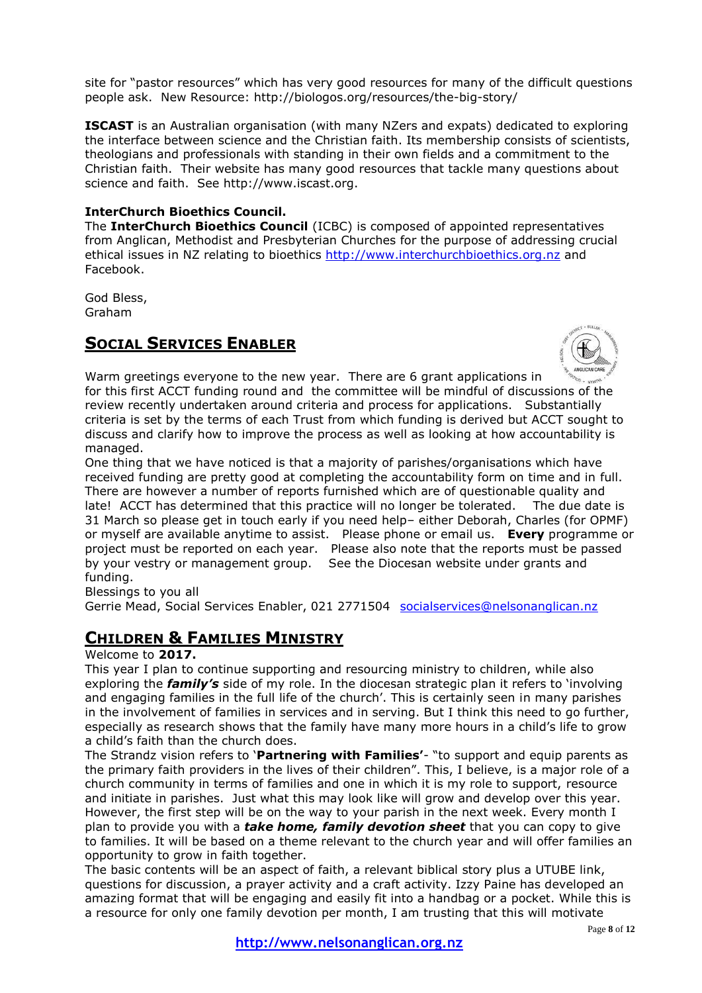site for "pastor resources" which has very good resources for many of the difficult questions people ask. New Resource: http://biologos.org/resources/the-big-story/

**ISCAST** is an Australian organisation (with many NZers and expats) dedicated to exploring the interface between science and the Christian faith. Its membership consists of scientists, theologians and professionals with standing in their own fields and a commitment to the Christian faith. Their website has many good resources that tackle many questions about science and faith. See http://www.iscast.org.

#### **InterChurch Bioethics Council.**

The **InterChurch Bioethics Council** (ICBC) is composed of appointed representatives from Anglican, Methodist and Presbyterian Churches for the purpose of addressing crucial ethical issues in NZ relating to bioethics [http://www.interchurchbioethics.org.nz](http://www.interchurchbioethics.org.nz/) and Facebook.

God Bless, Graham

# **SOCIAL SERVICES ENABLER**



Warm greetings everyone to the new year. There are 6 grant applications in for this first ACCT funding round and the committee will be mindful of discussions of the review recently undertaken around criteria and process for applications. Substantially criteria is set by the terms of each Trust from which funding is derived but ACCT sought to discuss and clarify how to improve the process as well as looking at how accountability is managed.

One thing that we have noticed is that a majority of parishes/organisations which have received funding are pretty good at completing the accountability form on time and in full. There are however a number of reports furnished which are of questionable quality and late! ACCT has determined that this practice will no longer be tolerated. The due date is 31 March so please get in touch early if you need help– either Deborah, Charles (for OPMF) or myself are available anytime to assist. Please phone or email us. **Every** programme or project must be reported on each year. Please also note that the reports must be passed by your vestry or management group. See the Diocesan website under grants and funding.

Blessings to you all

Gerrie Mead, Social Services Enabler, 021 2771504 [socialservices@nelsonanglican.nz](mailto:socialservices@nelsonanglican.nz)

# **CHILDREN & FAMILIES MINISTRY**

Welcome to **2017.**

This year I plan to continue supporting and resourcing ministry to children, while also exploring the *family's* side of my role. In the diocesan strategic plan it refers to 'involving and engaging families in the full life of the church'. This is certainly seen in many parishes in the involvement of families in services and in serving. But I think this need to go further, especially as research shows that the family have many more hours in a child's life to grow a child's faith than the church does.

The Strandz vision refers to '**Partnering with Families'**- "to support and equip parents as the primary faith providers in the lives of their children". This, I believe, is a major role of a church community in terms of families and one in which it is my role to support, resource and initiate in parishes. Just what this may look like will grow and develop over this year. However, the first step will be on the way to your parish in the next week. Every month I plan to provide you with a *take home, family devotion sheet* that you can copy to give to families. It will be based on a theme relevant to the church year and will offer families an opportunity to grow in faith together.

The basic contents will be an aspect of faith, a relevant biblical story plus a UTUBE link, questions for discussion, a prayer activity and a craft activity. Izzy Paine has developed an amazing format that will be engaging and easily fit into a handbag or a pocket. While this is a resource for only one family devotion per month, I am trusting that this will motivate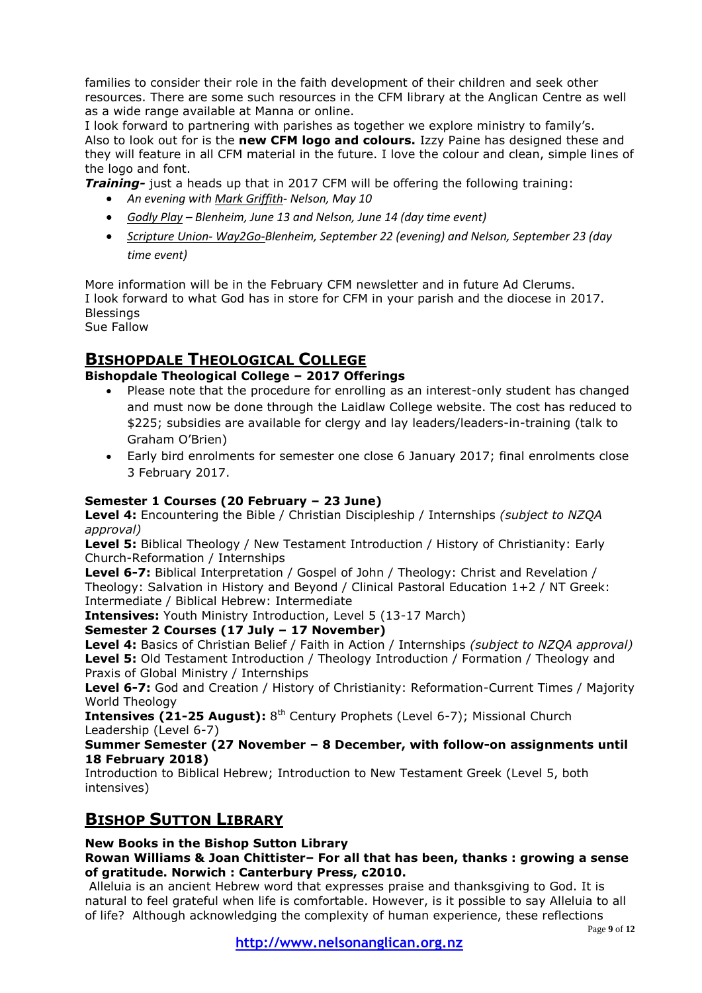families to consider their role in the faith development of their children and seek other resources. There are some such resources in the CFM library at the Anglican Centre as well as a wide range available at Manna or online.

I look forward to partnering with parishes as together we explore ministry to family's. Also to look out for is the **new CFM logo and colours.** Izzy Paine has designed these and they will feature in all CFM material in the future. I love the colour and clean, simple lines of the logo and font.

*Training-* just a heads up that in 2017 CFM will be offering the following training:

- *An evening with Mark Griffith- Nelson, May 10*
- *Godly Play – Blenheim, June 13 and Nelson, June 14 (day time event)*
- *Scripture Union- Way2Go-Blenheim, September 22 (evening) and Nelson, September 23 (day time event)*

More information will be in the February CFM newsletter and in future Ad Clerums. I look forward to what God has in store for CFM in your parish and the diocese in 2017. Blessings Sue Fallow

# **BISHOPDALE THEOLOGICAL COLLEGE**

### **Bishopdale Theological College – 2017 Offerings**

- Please note that the procedure for enrolling as an interest-only student has changed and must now be done through the Laidlaw College website. The cost has reduced to \$225; subsidies are available for clergy and lay leaders/leaders-in-training (talk to Graham O'Brien)
- Early bird enrolments for semester one close 6 January 2017; final enrolments close 3 February 2017.

### **Semester 1 Courses (20 February – 23 June)**

**Level 4:** Encountering the Bible / Christian Discipleship / Internships *(subject to NZQA approval)*

**Level 5:** Biblical Theology / New Testament Introduction / History of Christianity: Early Church-Reformation / Internships

**Level 6-7:** Biblical Interpretation / Gospel of John / Theology: Christ and Revelation / Theology: Salvation in History and Beyond / Clinical Pastoral Education 1+2 / NT Greek: Intermediate / Biblical Hebrew: Intermediate

**Intensives:** Youth Ministry Introduction, Level 5 (13-17 March)

### **Semester 2 Courses (17 July – 17 November)**

**Level 4:** Basics of Christian Belief / Faith in Action / Internships *(subject to NZQA approval)* **Level 5:** Old Testament Introduction / Theology Introduction / Formation / Theology and Praxis of Global Ministry / Internships

Level 6-7: God and Creation / History of Christianity: Reformation-Current Times / Majority World Theology

**Intensives (21-25 August):** 8<sup>th</sup> Century Prophets (Level 6-7); Missional Church Leadership (Level 6-7)

#### **Summer Semester (27 November – 8 December, with follow-on assignments until 18 February 2018)**

Introduction to Biblical Hebrew; Introduction to New Testament Greek (Level 5, both intensives)

# **BISHOP SUTTON LIBRARY**

### **New Books in the Bishop Sutton Library**

**Rowan Williams & Joan Chittister– For all that has been, thanks : growing a sense of gratitude. Norwich : Canterbury Press, c2010.**

Alleluia is an ancient Hebrew word that expresses praise and thanksgiving to God. It is natural to feel grateful when life is comfortable. However, is it possible to say Alleluia to all of life? Although acknowledging the complexity of human experience, these reflections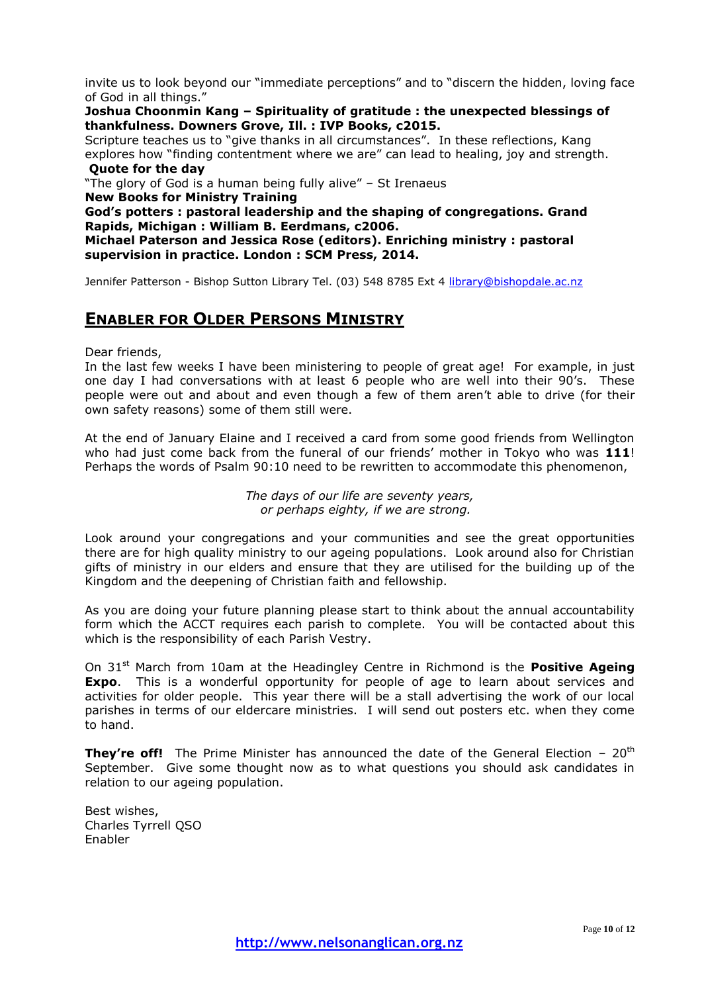invite us to look beyond our "immediate perceptions" and to "discern the hidden, loving face of God in all things."

**Joshua Choonmin Kang – Spirituality of gratitude : the unexpected blessings of thankfulness. Downers Grove, Ill. : IVP Books, c2015.**

Scripture teaches us to "give thanks in all circumstances". In these reflections, Kang explores how "finding contentment where we are" can lead to healing, joy and strength. **Quote for the day**

"The glory of God is a human being fully alive" - St Irenaeus

#### **New Books for Ministry Training**

**God's potters : pastoral leadership and the shaping of congregations. Grand Rapids, Michigan : William B. Eerdmans, c2006.**

**Michael Paterson and Jessica Rose (editors). Enriching ministry : pastoral supervision in practice. London : SCM Press, 2014.** 

Jennifer Patterson - Bishop Sutton Library Tel. (03) 548 8785 Ext 4 [library@bishopdale.ac.nz](mailto:library@bishopdale.ac.nz)

# **ENABLER FOR OLDER PERSONS MINISTRY**

Dear friends,

In the last few weeks I have been ministering to people of great age! For example, in just one day I had conversations with at least 6 people who are well into their 90's. These people were out and about and even though a few of them aren't able to drive (for their own safety reasons) some of them still were.

At the end of January Elaine and I received a card from some good friends from Wellington who had just come back from the funeral of our friends' mother in Tokyo who was **111**! Perhaps the words of Psalm 90:10 need to be rewritten to accommodate this phenomenon,

> *The days of our life are seventy years, or perhaps eighty, if we are strong.*

Look around your congregations and your communities and see the great opportunities there are for high quality ministry to our ageing populations. Look around also for Christian gifts of ministry in our elders and ensure that they are utilised for the building up of the Kingdom and the deepening of Christian faith and fellowship.

As you are doing your future planning please start to think about the annual accountability form which the ACCT requires each parish to complete. You will be contacted about this which is the responsibility of each Parish Vestry.

On 31<sup>st</sup> March from 10am at the Headingley Centre in Richmond is the **Positive Ageing Expo**. This is a wonderful opportunity for people of age to learn about services and activities for older people. This year there will be a stall advertising the work of our local parishes in terms of our eldercare ministries. I will send out posters etc. when they come to hand.

**They're off!** The Prime Minister has announced the date of the General Election - 20<sup>th</sup> September. Give some thought now as to what questions you should ask candidates in relation to our ageing population.

Best wishes, Charles Tyrrell QSO Enabler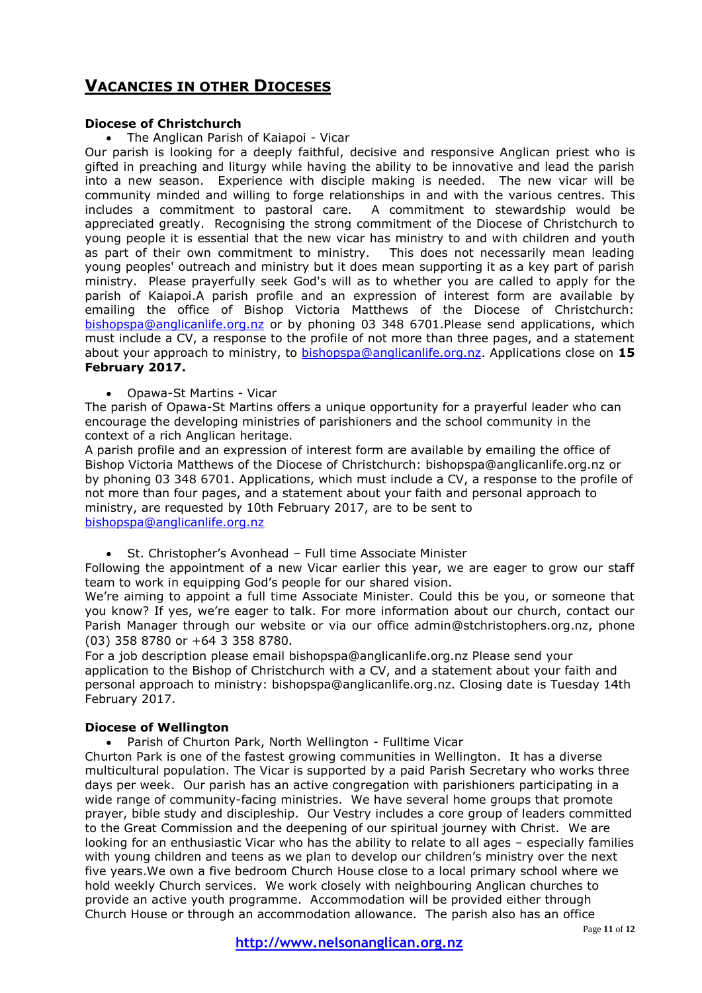# **VACANCIES IN OTHER DIOCESES**

#### **Diocese of Christchurch**

The Anglican Parish of Kaiapoi - Vicar

Our parish is looking for a deeply faithful, decisive and responsive Anglican priest who is gifted in preaching and liturgy while having the ability to be innovative and lead the parish into a new season. Experience with disciple making is needed. The new vicar will be community minded and willing to forge relationships in and with the various centres. This includes a commitment to pastoral care. A commitment to stewardship would be appreciated greatly. Recognising the strong commitment of the Diocese of Christchurch to young people it is essential that the new vicar has ministry to and with children and youth as part of their own commitment to ministry. This does not necessarily mean leading young peoples' outreach and ministry but it does mean supporting it as a key part of parish ministry. Please prayerfully seek God's will as to whether you are called to apply for the parish of Kaiapoi.A parish profile and an expression of interest form are available by emailing the office of Bishop Victoria Matthews of the Diocese of Christchurch: [bishopspa@anglicanlife.org.nz](mailto:bishopspa@anglicanlife.org.nz) or by phoning 03 348 6701.Please send applications, which must include a CV, a response to the profile of not more than three pages, and a statement about your approach to ministry, to [bishopspa@anglicanlife.org.nz.](mailto:bishopspa@anglicanlife.org.nz) Applications close on **15 February 2017.**

#### Opawa-St Martins - Vicar

The parish of Opawa-St Martins offers a unique opportunity for a prayerful leader who can encourage the developing ministries of parishioners and the school community in the context of a rich Anglican heritage.

A parish profile and an expression of interest form are available by emailing the office of Bishop Victoria Matthews of the Diocese of Christchurch: bishopspa@anglicanlife.org.nz or by phoning 03 348 6701. Applications, which must include a CV, a response to the profile of not more than four pages, and a statement about your faith and personal approach to ministry, are requested by 10th February 2017, are to be sent to [bishopspa@anglicanlife.org.nz](mailto:bishopspa@anglicanlife.org.nz)

St. Christopher's Avonhead – Full time Associate Minister

Following the appointment of a new Vicar earlier this year, we are eager to grow our staff team to work in equipping God's people for our shared vision.

We're aiming to appoint a full time Associate Minister. Could this be you, or someone that you know? If yes, we're eager to talk. For more information about our church, contact our Parish Manager through our website or via our office admin@stchristophers.org.nz, phone (03) 358 8780 or +64 3 358 8780.

For a job description please email bishopspa@anglicanlife.org.nz Please send your application to the Bishop of Christchurch with a CV, and a statement about your faith and personal approach to ministry: bishopspa@anglicanlife.org.nz. Closing date is Tuesday 14th February 2017.

#### **Diocese of Wellington**

Parish of Churton Park, North Wellington - Fulltime Vicar

Churton Park is one of the fastest growing communities in Wellington. It has a diverse multicultural population. The Vicar is supported by a paid Parish Secretary who works three days per week. Our parish has an active congregation with parishioners participating in a wide range of community-facing ministries. We have several home groups that promote prayer, bible study and discipleship. Our Vestry includes a core group of leaders committed to the Great Commission and the deepening of our spiritual journey with Christ. We are looking for an enthusiastic Vicar who has the ability to relate to all ages – especially families with young children and teens as we plan to develop our children's ministry over the next five years.We own a five bedroom Church House close to a local primary school where we hold weekly Church services. We work closely with neighbouring Anglican churches to provide an active youth programme. Accommodation will be provided either through Church House or through an accommodation allowance. The parish also has an office